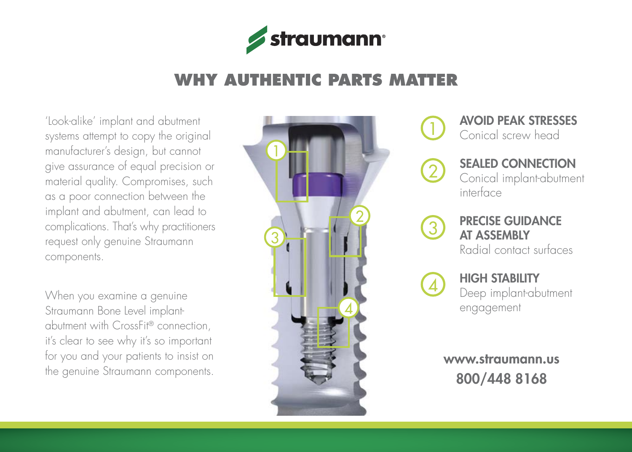

# **WHY AUTHENTIC PARTS MATTER**

'Look-alike' implant and abutment systems attempt to copy the original manufacturer's design, but cannot give assurance of equal precision or material quality. Compromises, such as a poor connection between the implant and abutment, can lead to complications. That's why practitioners request only genuine Straumann components.

When you examine a genuine Straumann Bone Level implantabutment with CrossFit® connection, it's clear to see why it's so important for you and your patients to insist on the genuine Straumann components.



Avoid peak stresses Conical screw head



1

Sealed connection Conical implant-abutment interface



Precise guidance at assembly

Radial contact surfaces



#### **HIGH STABILITY**

Deep implant-abutment engagement

www.straumann.us 800/448 8168